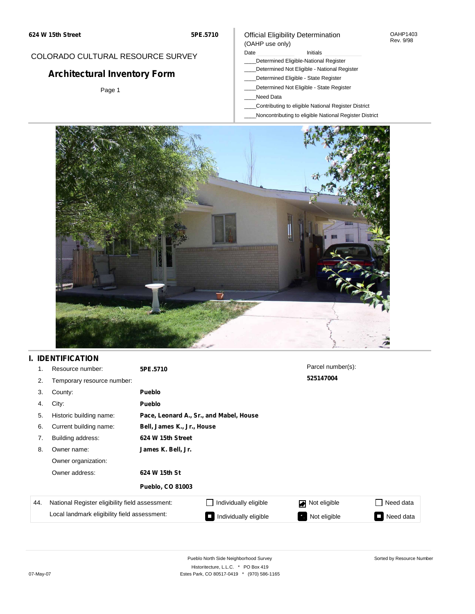### COLORADO CULTURAL RESOURCE SURVEY

# **Architectural Inventory Form**

Page 1

### Official Eligibility Determination (OAHP use only)

Date **Initials** Initials

- \_\_\_\_Determined Eligible-National Register
- \_\_\_\_Determined Not Eligible National Register
- \_\_\_\_Determined Eligible State Register
- \_\_\_\_Determined Not Eligible State Register
- \_\_\_\_Need Data
- \_\_\_\_Contributing to eligible National Register District
- \_\_\_\_Noncontributing to eligible National Register District



## **I. IDENTIFICATION**

| 1.  | Resource number:                                | 5PE.5710                |                                         | Parcel number(s): |                             |  |  |  |
|-----|-------------------------------------------------|-------------------------|-----------------------------------------|-------------------|-----------------------------|--|--|--|
| 2.  | Temporary resource number:                      |                         |                                         |                   |                             |  |  |  |
| 3.  | County:                                         | <b>Pueblo</b>           |                                         |                   |                             |  |  |  |
| 4.  | City:                                           | <b>Pueblo</b>           |                                         |                   |                             |  |  |  |
| 5.  | Historic building name:                         |                         | Pace, Leonard A., Sr., and Mabel, House |                   |                             |  |  |  |
| 6.  | Current building name:                          |                         | Bell, James K., Jr., House              |                   |                             |  |  |  |
| 7.  | Building address:                               | 624 W 15th Street       |                                         |                   |                             |  |  |  |
| 8.  | Owner name:                                     | James K. Bell, Jr.      |                                         |                   |                             |  |  |  |
|     | Owner organization:                             |                         |                                         |                   |                             |  |  |  |
|     | Owner address:                                  | 624 W 15th St           |                                         |                   |                             |  |  |  |
|     |                                                 | <b>Pueblo, CO 81003</b> |                                         |                   |                             |  |  |  |
| 44. | National Register eligibility field assessment: |                         | Individually eligible                   | Not eligible      | Need data<br>$\blacksquare$ |  |  |  |
|     | Local landmark eligibility field assessment:    |                         | Individually eligible                   | Not eligible      | Need data                   |  |  |  |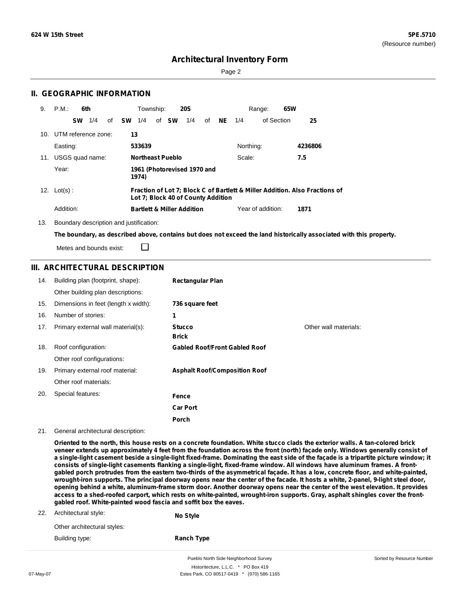Sorted by Resource Number

## **Architectural Inventory Form**

Page 2

### **II. GEOGRAPHIC INFORMATION**

| 9. | P.M.                    |           | 6th |    |           |        | Township: |                         | <b>20S</b>                            |    |     |           | 65W<br>Range:     |                                                                             |  |
|----|-------------------------|-----------|-----|----|-----------|--------|-----------|-------------------------|---------------------------------------|----|-----|-----------|-------------------|-----------------------------------------------------------------------------|--|
|    |                         | <b>SW</b> | 1/4 | of | <b>SW</b> | 1/4    |           | of <b>SW</b>            | 1/4                                   | of | NE. | 1/4       | of Section        | 25                                                                          |  |
|    | 10. UTM reference zone: |           |     |    |           | 13     |           |                         |                                       |    |     |           |                   |                                                                             |  |
|    | Easting:                |           |     |    |           | 533639 |           |                         |                                       |    |     | Northing: |                   | 4236806                                                                     |  |
|    | 11. USGS quad name:     |           |     |    |           |        |           | <b>Northeast Pueblo</b> |                                       |    |     | Scale:    |                   | 7.5                                                                         |  |
|    | Year:                   |           |     |    |           | 1974)  |           |                         | 1961 (Photorevised 1970 and           |    |     |           |                   |                                                                             |  |
|    | 12. $Lot(s)$ :          |           |     |    |           |        |           |                         | Lot 7; Block 40 of County Addition    |    |     |           |                   | Fraction of Lot 7; Block C of Bartlett & Miller Addition. Also Fractions of |  |
|    | Addition:               |           |     |    |           |        |           |                         | <b>Bartlett &amp; Miller Addition</b> |    |     |           | Year of addition: | 1871                                                                        |  |

13. Boundary description and justification:

The boundary, as described above, contains but does not exceed the land historically associated with this property.

Metes and bounds exist:

### **III. ARCHITECTURAL DESCRIPTION**

□

| 14. | Building plan (footprint, shape):    | <b>Rectangular Plan</b>              |                       |
|-----|--------------------------------------|--------------------------------------|-----------------------|
|     | Other building plan descriptions:    |                                      |                       |
| 15. | Dimensions in feet (length x width): | 736 square feet                      |                       |
| 16. | Number of stories:                   | 1                                    |                       |
| 17. | Primary external wall material(s):   | <b>Stucco</b>                        | Other wall materials: |
|     |                                      | <b>Brick</b>                         |                       |
| 18. | Roof configuration:                  | <b>Gabled Roof/Front Gabled Roof</b> |                       |
|     | Other roof configurations:           |                                      |                       |
| 19. | Primary external roof material:      | <b>Asphalt Roof/Composition Roof</b> |                       |
|     | Other roof materials:                |                                      |                       |
| 20. | Special features:                    | Fence                                |                       |
|     |                                      | <b>Car Port</b>                      |                       |
|     |                                      | <b>Porch</b>                         |                       |

21. General architectural description:

Oriented to the north, this house rests on a concrete foundation. White stucco clads the exterior walls. A tan-colored brick veneer extends up approximately 4 feet from the foundation across the front (north) façade only. Windows generally consist of a single-light casement beside a single-light fixed-frame. Dominating the east side of the façade is a tripartite picture window; it consists of single-light casements flanking a single-light, fixed-frame window. All windows have aluminum frames. A frontgabled porch protrudes from the eastern two-thirds of the asymmetrical façade. It has a low, concrete floor, and white-painted, wrought-iron supports. The principal doorway opens near the center of the facade. It hosts a white, 2-panel, 9-light steel door, opening behind a white, aluminum-frame storm door. Another doorway opens near the center of the west elevation. It provides access to a shed-roofed carport, which rests on white-painted, wrought-iron supports. Gray, asphalt shingles cover the front**gabled roof. White-painted wood fascia and soffit box the eaves.**

| 22. | Architectural style:        | No Style          |
|-----|-----------------------------|-------------------|
|     | Other architectural styles: |                   |
|     | Building type:              | <b>Ranch Type</b> |

Pueblo North Side Neighborhood Survey Historitecture, L.L.C. \* PO Box 419 07-May-07 **Estes Park, CO 80517-0419** \* (970) 586-1165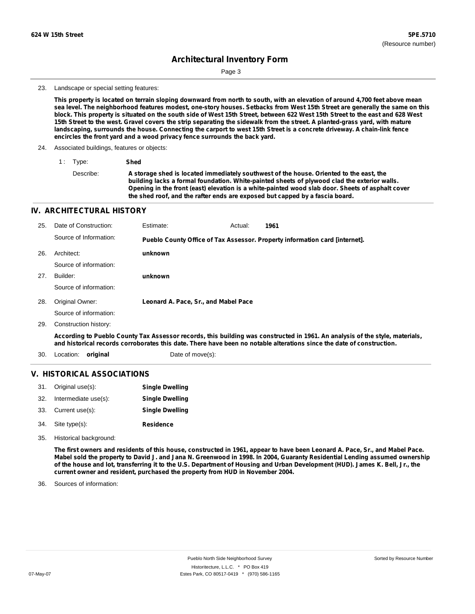Page 3

#### 23. Landscape or special setting features:

This property is located on terrain sloping downward from north to south, with an elevation of around 4,700 feet above mean sea level. The neighborhood features modest, one-story houses. Setbacks from West 15th Street are generally the same on this block. This property is situated on the south side of West 15th Street, between 622 West 15th Street to the east and 628 West 15th Street to the west. Gravel covers the strip separating the sidewalk from the street. A planted-grass yard, with mature landscaping, surrounds the house. Connecting the carport to west 15th Street is a concrete driveway. A chain-link fence **encircles the front yard and a wood privacy fence surrounds the back yard.**

- 24. Associated buildings, features or objects:
	- 1 : Type: **Shed**

Describe: **A storage shed is located immediately southwest of the house. Oriented to the east, the building lacks a formal foundation. White-painted sheets of plywood clad the exterior walls. Opening in the front (east) elevation is a white-painted wood slab door. Sheets of asphalt cover the shed roof, and the rafter ends are exposed but capped by a fascia board.**

#### **IV. ARCHITECTURAL HISTORY**

| 25. | Date of Construction:  | Estimate:                            | Actual: | 1961                                                                                                                                                                                                                                                  |
|-----|------------------------|--------------------------------------|---------|-------------------------------------------------------------------------------------------------------------------------------------------------------------------------------------------------------------------------------------------------------|
|     | Source of Information: |                                      |         | Pueblo County Office of Tax Assessor. Property information card [internet].                                                                                                                                                                           |
| 26. | Architect:             | unknown                              |         |                                                                                                                                                                                                                                                       |
|     | Source of information: |                                      |         |                                                                                                                                                                                                                                                       |
| 27. | Builder:               | unknown                              |         |                                                                                                                                                                                                                                                       |
|     | Source of information: |                                      |         |                                                                                                                                                                                                                                                       |
| 28. | Original Owner:        | Leonard A. Pace, Sr., and Mabel Pace |         |                                                                                                                                                                                                                                                       |
|     | Source of information: |                                      |         |                                                                                                                                                                                                                                                       |
| 29. | Construction history:  |                                      |         |                                                                                                                                                                                                                                                       |
|     |                        |                                      |         | According to Pueblo County Tax Assessor records, this building was constructed in 1961. An analysis of the style, materials,<br>and historical records corroborates this date. There have been no notable alterations since the date of construction. |
| 30. | Location:<br>original  | Date of move(s):                     |         |                                                                                                                                                                                                                                                       |

#### **V. HISTORICAL ASSOCIATIONS**

| 31. | Original use(s):     | <b>Single Dwelling</b> |
|-----|----------------------|------------------------|
| 32. | Intermediate use(s): | <b>Single Dwelling</b> |
| 33. | Current use(s):      | <b>Single Dwelling</b> |
| 34. | Site type(s):        | <b>Residence</b>       |

35. Historical background:

The first owners and residents of this house, constructed in 1961, appear to have been Leonard A. Pace, Sr., and Mabel Pace. Mabel sold the property to David J. and Jana N. Greenwood in 1998. In 2004, Guaranty Residential Lending assumed ownership of the house and lot, transferring it to the U.S. Department of Housing and Urban Development (HUD). James K. Bell, Jr., the **current owner and resident, purchased the property from HUD in November 2004.**

Sources of information: 36.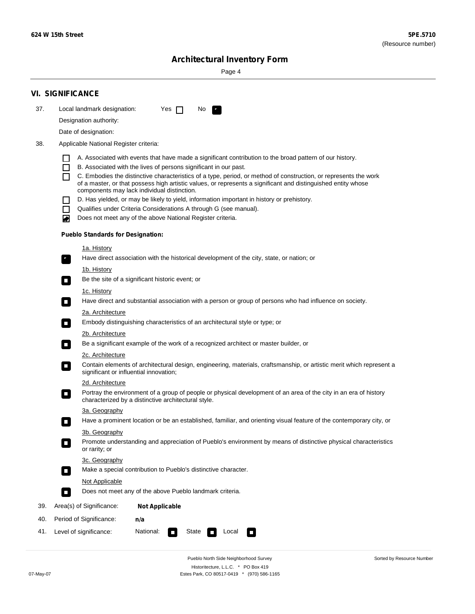۰

Sorted by Resource Number

## **Architectural Inventory Form**

Page 4

|     | <b>VI. SIGNIFICANCE</b>                                                                                                                                                                                                                                                                                                                                                                                                                                                                                                                                                                                                                                                                                                                                                                                                                                                                                                                                                                                                                                                                                                                                                                                                                                                                                                                                                                                                                                                                                                                                                                                                                                                                                                                                                                                                                                                                                                                                                                                                                                                                                                                                                                                                                               |  |  |  |  |
|-----|-------------------------------------------------------------------------------------------------------------------------------------------------------------------------------------------------------------------------------------------------------------------------------------------------------------------------------------------------------------------------------------------------------------------------------------------------------------------------------------------------------------------------------------------------------------------------------------------------------------------------------------------------------------------------------------------------------------------------------------------------------------------------------------------------------------------------------------------------------------------------------------------------------------------------------------------------------------------------------------------------------------------------------------------------------------------------------------------------------------------------------------------------------------------------------------------------------------------------------------------------------------------------------------------------------------------------------------------------------------------------------------------------------------------------------------------------------------------------------------------------------------------------------------------------------------------------------------------------------------------------------------------------------------------------------------------------------------------------------------------------------------------------------------------------------------------------------------------------------------------------------------------------------------------------------------------------------------------------------------------------------------------------------------------------------------------------------------------------------------------------------------------------------------------------------------------------------------------------------------------------------|--|--|--|--|
| 37. | Local landmark designation:<br>Yes $\Box$<br>No.<br>P.                                                                                                                                                                                                                                                                                                                                                                                                                                                                                                                                                                                                                                                                                                                                                                                                                                                                                                                                                                                                                                                                                                                                                                                                                                                                                                                                                                                                                                                                                                                                                                                                                                                                                                                                                                                                                                                                                                                                                                                                                                                                                                                                                                                                |  |  |  |  |
|     | Designation authority:                                                                                                                                                                                                                                                                                                                                                                                                                                                                                                                                                                                                                                                                                                                                                                                                                                                                                                                                                                                                                                                                                                                                                                                                                                                                                                                                                                                                                                                                                                                                                                                                                                                                                                                                                                                                                                                                                                                                                                                                                                                                                                                                                                                                                                |  |  |  |  |
|     | Date of designation:                                                                                                                                                                                                                                                                                                                                                                                                                                                                                                                                                                                                                                                                                                                                                                                                                                                                                                                                                                                                                                                                                                                                                                                                                                                                                                                                                                                                                                                                                                                                                                                                                                                                                                                                                                                                                                                                                                                                                                                                                                                                                                                                                                                                                                  |  |  |  |  |
| 38. |                                                                                                                                                                                                                                                                                                                                                                                                                                                                                                                                                                                                                                                                                                                                                                                                                                                                                                                                                                                                                                                                                                                                                                                                                                                                                                                                                                                                                                                                                                                                                                                                                                                                                                                                                                                                                                                                                                                                                                                                                                                                                                                                                                                                                                                       |  |  |  |  |
|     | Applicable National Register criteria:<br>A. Associated with events that have made a significant contribution to the broad pattern of our history.<br>H<br>B. Associated with the lives of persons significant in our past.<br>ΙI<br>C. Embodies the distinctive characteristics of a type, period, or method of construction, or represents the work<br>П<br>of a master, or that possess high artistic values, or represents a significant and distinguished entity whose<br>components may lack individual distinction.<br>D. Has yielded, or may be likely to yield, information important in history or prehistory.<br>Qualifies under Criteria Considerations A through G (see manual).<br>П<br>Does not meet any of the above National Register criteria.<br>◙<br><b>Pueblo Standards for Designation:</b><br><u>1a. History</u><br>Have direct association with the historical development of the city, state, or nation; or<br>$\mathbf{r}_i$<br><u>1b. History</u><br>Be the site of a significant historic event; or<br>$\overline{\phantom{a}}$<br>1c. History<br>Have direct and substantial association with a person or group of persons who had influence on society.<br>$\blacksquare$<br>2a. Architecture<br>Embody distinguishing characteristics of an architectural style or type; or<br>$\sim$<br>2b. Architecture<br>Be a significant example of the work of a recognized architect or master builder, or<br>$\Box$<br>2c. Architecture<br>Contain elements of architectural design, engineering, materials, craftsmanship, or artistic merit which represent a<br>о<br>significant or influential innovation;<br>2d. Architecture<br>Portray the environment of a group of people or physical development of an area of the city in an era of history<br>п<br>characterized by a distinctive architectural style.<br>3a. Geography<br>Have a prominent location or be an established, familiar, and orienting visual feature of the contemporary city, or<br>3b. Geography<br>Promote understanding and appreciation of Pueblo's environment by means of distinctive physical characteristics<br>or rarity; or<br>3c. Geography<br>Make a special contribution to Pueblo's distinctive character.<br>$\Box$<br>Not Applicable |  |  |  |  |
|     | Does not meet any of the above Pueblo landmark criteria.<br>$\overline{\phantom{a}}$                                                                                                                                                                                                                                                                                                                                                                                                                                                                                                                                                                                                                                                                                                                                                                                                                                                                                                                                                                                                                                                                                                                                                                                                                                                                                                                                                                                                                                                                                                                                                                                                                                                                                                                                                                                                                                                                                                                                                                                                                                                                                                                                                                  |  |  |  |  |
| 39. | Area(s) of Significance:<br><b>Not Applicable</b>                                                                                                                                                                                                                                                                                                                                                                                                                                                                                                                                                                                                                                                                                                                                                                                                                                                                                                                                                                                                                                                                                                                                                                                                                                                                                                                                                                                                                                                                                                                                                                                                                                                                                                                                                                                                                                                                                                                                                                                                                                                                                                                                                                                                     |  |  |  |  |
| 40. | Period of Significance:<br>n/a                                                                                                                                                                                                                                                                                                                                                                                                                                                                                                                                                                                                                                                                                                                                                                                                                                                                                                                                                                                                                                                                                                                                                                                                                                                                                                                                                                                                                                                                                                                                                                                                                                                                                                                                                                                                                                                                                                                                                                                                                                                                                                                                                                                                                        |  |  |  |  |
| 41. | National:<br>Level of significance:<br>Local<br>State<br>$\overline{\phantom{a}}$<br>П                                                                                                                                                                                                                                                                                                                                                                                                                                                                                                                                                                                                                                                                                                                                                                                                                                                                                                                                                                                                                                                                                                                                                                                                                                                                                                                                                                                                                                                                                                                                                                                                                                                                                                                                                                                                                                                                                                                                                                                                                                                                                                                                                                |  |  |  |  |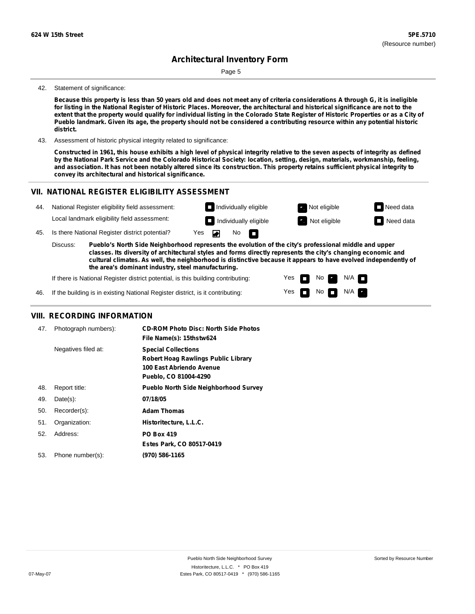Page 5

#### 42. Statement of significance:

Because this property is less than 50 years old and does not meet any of criteria considerations A through G, it is ineligible for listing in the National Register of Historic Places. Moreover, the architectural and historical significance are not to the extent that the property would qualify for individual listing in the Colorado State Register of Historic Properties or as a City of Pueblo landmark. Given its age, the property should not be considered a contributing resource within any potential historic **district.**

43. Assessment of historic physical integrity related to significance:

Constructed in 1961, this house exhibits a high level of physical integrity relative to the seven aspects of integrity as defined by the National Park Service and the Colorado Historical Society: location, setting, design, materials, workmanship, feeling, and association. It has not been notably altered since its construction. This property retains sufficient physical integrity to **convey its architectural and historical significance.**

## **VII. NATIONAL REGISTER ELIGIBILITY ASSESSMENT**



Yes Yes

П

No

No  $\blacksquare$  N/A

 $N/A$ 

**the area's dominant industry, steel manufacturing.**

If there is National Register district potential, is this building contributing:

If the building is in existing National Register district, is it contributing: 46.

### **VIII. RECORDING INFORMATION**

| 47. | Photograph numbers): | <b>CD-ROM Photo Disc: North Side Photos</b><br>File Name(s): 15thstw624                                                       |
|-----|----------------------|-------------------------------------------------------------------------------------------------------------------------------|
|     | Negatives filed at:  | <b>Special Collections</b><br><b>Robert Hoag Rawlings Public Library</b><br>100 East Abriendo Avenue<br>Pueblo, CO 81004-4290 |
| 48. | Report title:        | <b>Pueblo North Side Neighborhood Survey</b>                                                                                  |
| 49. | $Date(s)$ :          | 07/18/05                                                                                                                      |
| 50. | Recorder(s):         | <b>Adam Thomas</b>                                                                                                            |
| 51. | Organization:        | Historitecture, L.L.C.                                                                                                        |
| 52. | Address:             | <b>PO Box 419</b>                                                                                                             |
|     |                      | Estes Park, CO 80517-0419                                                                                                     |
| 53. | Phone number(s):     | (970) 586-1165                                                                                                                |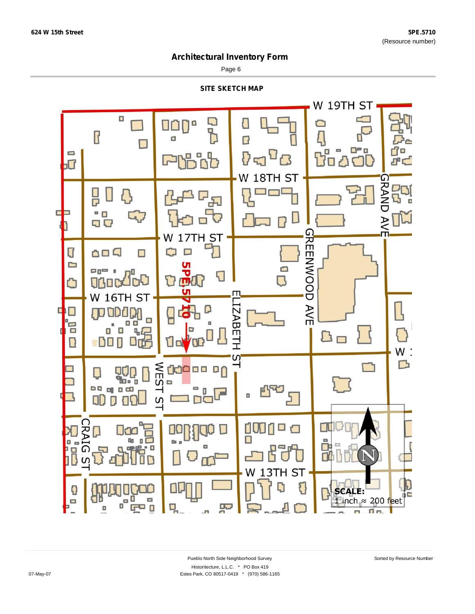Page 6